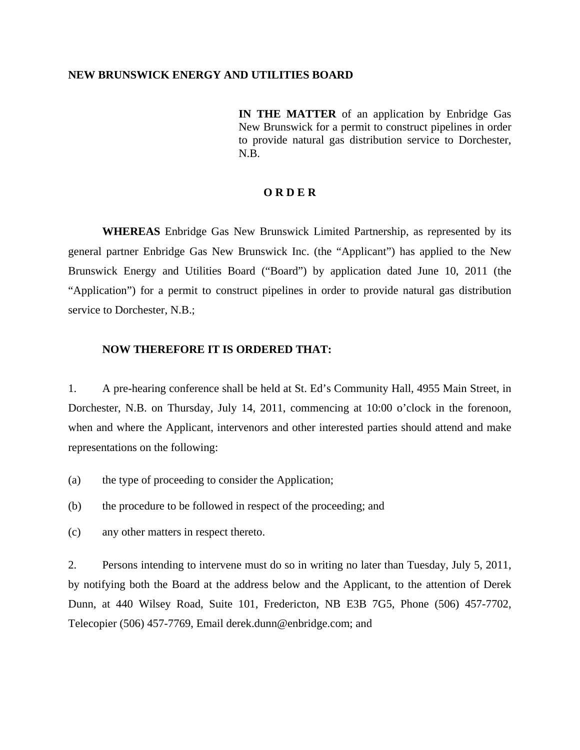## **NEW BRUNSWICK ENERGY AND UTILITIES BOARD**

**IN THE MATTER** of an application by Enbridge Gas New Brunswick for a permit to construct pipelines in order to provide natural gas distribution service to Dorchester, N.B.

## **O R D E R**

**WHEREAS** Enbridge Gas New Brunswick Limited Partnership, as represented by its general partner Enbridge Gas New Brunswick Inc. (the "Applicant") has applied to the New Brunswick Energy and Utilities Board ("Board") by application dated June 10, 2011 (the "Application") for a permit to construct pipelines in order to provide natural gas distribution service to Dorchester, N.B.;

## **NOW THEREFORE IT IS ORDERED THAT:**

1. A pre-hearing conference shall be held at St. Ed's Community Hall, 4955 Main Street, in Dorchester, N.B. on Thursday, July 14, 2011, commencing at 10:00 o'clock in the forenoon, when and where the Applicant, intervenors and other interested parties should attend and make representations on the following:

- (a) the type of proceeding to consider the Application;
- (b) the procedure to be followed in respect of the proceeding; and
- (c) any other matters in respect thereto.

2. Persons intending to intervene must do so in writing no later than Tuesday, July 5, 2011, by notifying both the Board at the address below and the Applicant, to the attention of Derek Dunn, at 440 Wilsey Road, Suite 101, Fredericton, NB E3B 7G5, Phone (506) 457-7702, Telecopier (506) 457-7769, Email derek.dunn@enbridge.com; and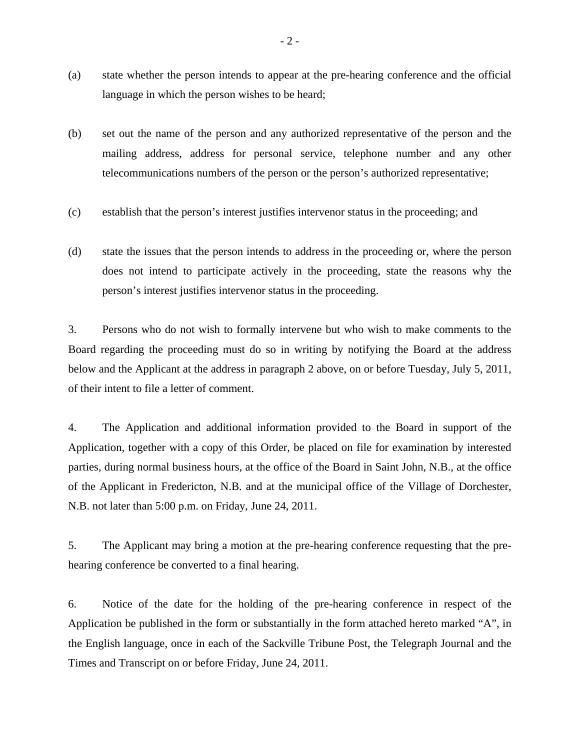- (a) state whether the person intends to appear at the pre-hearing conference and the official language in which the person wishes to be heard;
- (b) set out the name of the person and any authorized representative of the person and the mailing address, address for personal service, telephone number and any other telecommunications numbers of the person or the person's authorized representative;
- (c) establish that the person's interest justifies intervenor status in the proceeding; and
- (d) state the issues that the person intends to address in the proceeding or, where the person does not intend to participate actively in the proceeding, state the reasons why the person's interest justifies intervenor status in the proceeding.

3. Persons who do not wish to formally intervene but who wish to make comments to the Board regarding the proceeding must do so in writing by notifying the Board at the address below and the Applicant at the address in paragraph 2 above, on or before Tuesday, July 5, 2011, of their intent to file a letter of comment.

4. The Application and additional information provided to the Board in support of the Application, together with a copy of this Order, be placed on file for examination by interested parties, during normal business hours, at the office of the Board in Saint John, N.B., at the office of the Applicant in Fredericton, N.B. and at the municipal office of the Village of Dorchester, N.B. not later than 5:00 p.m. on Friday, June 24, 2011.

5. The Applicant may bring a motion at the pre-hearing conference requesting that the prehearing conference be converted to a final hearing.

6. Notice of the date for the holding of the pre-hearing conference in respect of the Application be published in the form or substantially in the form attached hereto marked "A", in the English language, once in each of the Sackville Tribune Post, the Telegraph Journal and the Times and Transcript on or before Friday, June 24, 2011.